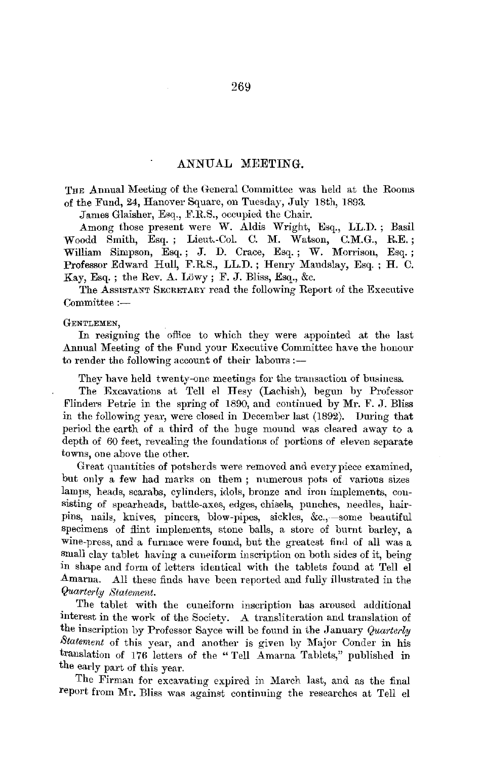## ANNUAL MEETING.

THE Annual Meeting of the General Committee was held at the Rooms of the Fund, 24, Hanover Square, on Tuesday, July 18th, 1893.

James Glaisher, Esq., F.R.S., occupied the Chair.

Among those present were W. Aldis Wright, Esq., LL.D.; Basil Woodd Smith, Esq. ; Lieut.-Col. C. M. Watson, C.M.G., R.E.; William Simpson, Esq.; J. D. Crace, Esq.; W. Morrison, Esq.; Professor Edward Hull, F.R.S., LL.D. ; Henry Maudslay, Esq. ; H. C. Kay, Esq.; the Rev. A. Lowy; F. J. Bliss, Esq., &c.

The Assistant SECRETARY read the following-Report of the Executive  $Committee :=$ 

## GENTLEMEN,

In resigning the oftice to which they were appointed at the last Annual Meeting of the Fund your Executive Committee have the honour to render the following account of their labours :-

They have held twenty-one meetings for the transaction of business.

The Excavations at Tell el Hesy (Lachish), begun by Professor Flinders Petrie in the spring of 1890, and continued by Mr. F. J. Bliss in the following year, were closed in December last (1892). During that period the earth of a third of the huge mound was cleared away to a depth of 60 feet, revealing the foundations of portions of eleven separate towns, one above the other.

Great quantities of potsherds were removed and every piece examined, but only a few had marks on them ; numerous pots of various sizes lamps, heads, scarabs, cylinders, idols, bronze and iron implements, consisting of spearheads, battle-axes, edges, chisels, punches, needles, hairpins, nails, knives, pincers, blow-pipes, sickles, &c.,--some beautiful specimens of flint implements, stone balls, a store of burnt barley, a wine-press, and a furnace were found, but the greatest find of all was a small clay tablet having a cuneiform inscription on both sides of it, being in shape and form of letters identical with the tablets found at Tell el Amarna. All these finds have been reported and fully illustrated in the *Quarterly Staternent.* 

The tablet with the cuneiform inscription has aroused additional interest in the work of the Societv. A transliteration and translation of the inscription by Professor Saye; will be found in the January *Quarterly Statement* of this year, and another is given by Major Conder in his translation of 176 letters of the " Tell Amarna Tablets," published in the early part of this year.

The Firman for excavating expired in March last, and as the final report from Mr. Bliss was against continuing the researches at Tell el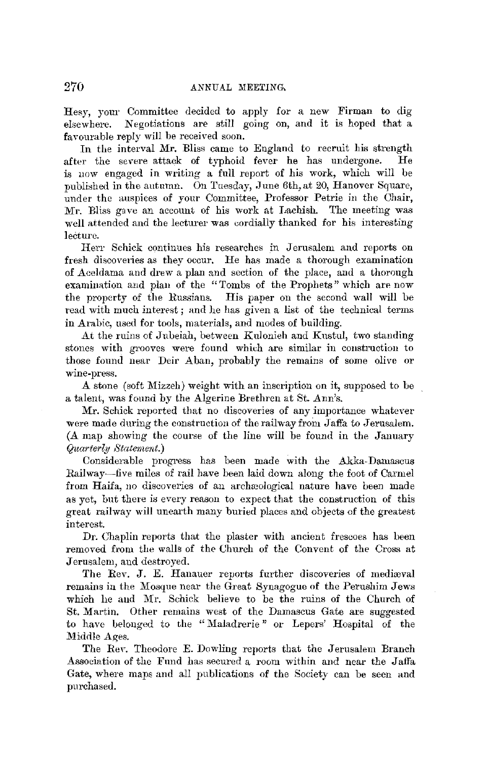Hesy, your Committee decided to apply for a new Firman to dig elsewhere. Negotiations are still going on, and it is hoped that a favourable reply will be received soon.

In the interval Mr. Bliss came to England to recruit his strength after the severe attack of typhoid fever he has undergone. He is now engaged in writing a full report of his work, which will be published in the autumn. On Tuesday, June 6th, at 20, Hanover Square, under the auspices of your Committee, Professor Petrie in the Ohair, Mr. Bliss gave an account of his work at Lachish. The meeting was well attended and the lecturer was eordially thanked for his interesting lecture.

Herr Schick continues his researches in Jerusalem and reports on fresh discoveries as they occur. He has made a thorough examination of Aceldama and drew a plan and section of the place, and a thorough examination and plan of the "Tombs of the Prophets" which are now the property of the Russians. His paper on the second wall will be read with much interest; and he has given a list of the technical terms in Arabic, used for tools, materials, and modes of building.

At the ruins of Jubeiah, between Kulonieh and Kustul, two standing stones with grooves were found which are similar in construction to those found near Deir Aban, probably the remains of some olive or wine-press.

A stone (soft Mizzeh) weight with an inscription on it, supposed to be a talent, was found by the Algerine Brethren at St. Ann's.

Mr. Schick reported that no discoveries of any importance whatever were made during the construction of the railway from Jaffa to Jerusalem. (A map showing the course of the line will be found in the January *Quarterly Statement.)* 

Considerable progress has been made with the Akka-Damascus Railway-five miles of rail have been laid down along the foot of Carmel from Haifa, no discoveries of an archaeological nature have been made as yet, but there is every reason to expect that the construction of this great railway will unearth many buried places and objects of the greatest interest.

Dr. Chaplin reports that the plaster with ancient frescoes has been removed from the walls of the Church of the Convent of the Cross at Jerusalem, and destroyed.

The Rev. J. E. Hanauer reports further discoveries of mediaval remains in the Mosque near the Great Synagogue of the Perushim Jews which he and Mr. Schick believe to be the ruins of the Church of St. Martin. Other remains west of the Damascus Gate are suggested to have belonged to the "Maladrerie" or Lepers' Hospital of the Middle Ages.

The Rev. Theodore E. Dowling reports that the Jerusalem Branch Association of the Fund has secured a room within and near the Jaffa Gate, where maps and all publications of the Society can be seen and purchased.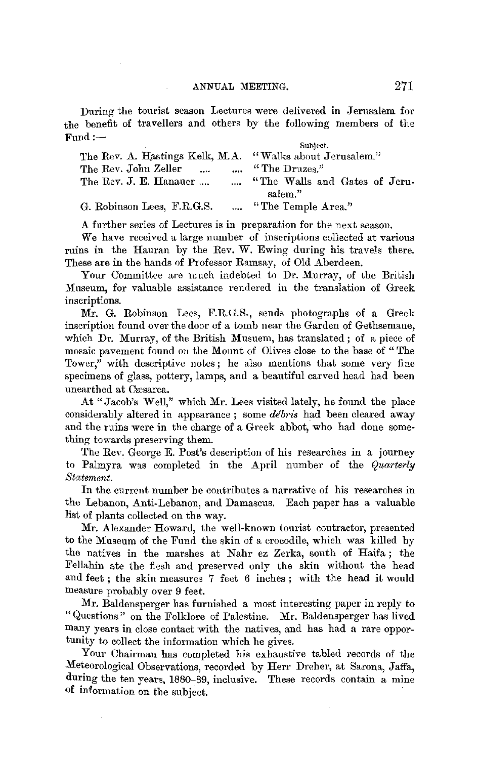During the tourist season Lectures were delivered in Jerusalem for the benefit of travellers and others by the following members of the Fund:- Suhject.

|                                                          | sumect.                         |
|----------------------------------------------------------|---------------------------------|
| The Rev. A. Hastings Kelk, M.A. "Walks about Jerusalem." |                                 |
| The Rev. John Zeller<br>$\mathbf{r}$<br>$\cdots$         | "The Druzes."                   |
| The Rev. J. E. Hanauer                                   | , "The Walls and Gates of Jeru- |
|                                                          | salem."                         |
| G. Robinson Lees, F.R.G.S.                               | "The Temple Area."              |

A further series of Lectures is in preparation for the next season.

We have received a large number of inscriptions collected at various ruins in the Hauran by the Rev. W. Ewing during his travels there. These are in the hands 0f Professor Ramsay, of Old Aberdeen.

Your Committee are much indebted to Dr. Murray, of the British Museum, for valuable assistance rendered in the translation of Greek inscriptions.

Mr. G. Robinson Lees, F.R.G.S., sends photographs of a Greek inscription found over the door of a tomb near the Garden of Gethsemane, which Dr. Murray, of the British Musuem, has translated; of a piece of mosaic pavement found on the Mount of Olives close to the base of "The Tower," with descriptive notes; he also mentions that some very fine specimens of glass, pottery, lamps, and a beautiful carved head had been unearthed at Cresarea.

At "Jacob's Well." which Mr. Lees visited lately, he found the place considerably altered in appearance ; some *debris* had been cleared away and the ruins were **in** the charge of a Greek abbot, who had done something towards preserving them.

The Rev. George E. Post's description of his researches **in** a journey to Palmyra was completed in the April number of the *Quarterly Statement.* 

In the current number he contributes a narrative of his researches in the Lebanon, Anti-Lebanon, and Damascus. Each paper has a valuable list of plants collected on the way.

Mr. Alexander Howard, the well-known tourist contractor, presented to the Museum of the Fund the skin of a crocodile, which was killed by the natives in the marshes at Nahr ez Zerka, south of Haifa; the Fellahin ate the flesh and preserved only the skin without the head and feet ; the skin measures 7 feet 6 inches ; with the head it would measure probably over 9 feet.

**Mr.** Baldensperger has furnished a most interesting paper in reply to "Questions" on the Folklore of Palestine. Mr. Baldensperger has lived many years in close contact with the natives, and has had a rare opportunity to collect the information which he gives.

Your Chairman has completed his exhaustive tabled records of the Meteorological Observations, recorded by Herr Dreher, at Sarona, Jaffa, during the ten years, 1880-89, inclusive. These records contain a mine of information on the subject.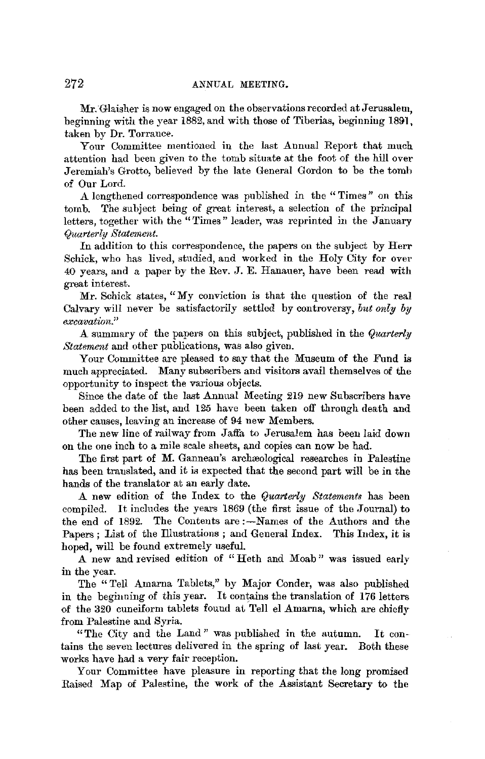Mr. Glaisher is now engaged on the observations recorded at Jerusalem, beginning with the year 1882, and with those of Tiberias, beginning 1891, taken by Dr. Torrance.

Your Committee mentioned in the last Annual Report that much attention had been given to the tomb situate at the foot of the hill over Jeremiah's Grotto, believed by the late General Gordon to be the tomb of Our Lord.

A lengthened correspondence was published in the "Times" on this tomb. The subject being of great interest, a selection of the principal letters, together with the "Times" leader, was reprinted in the January *Quarterly Statenient.* 

In addition to this correspondence, the papers on the subject by Herr Schick, who has lived, studied, and worked in the Holy City for over 40 years, and a paper by the Rev. J. E. Hanauer, have been read with great interest.

Mr. Schick states, "My conviction is that the question of the real Calvary will never be satisfactorily settled by controversy, *bnt only by excavation."* 

A summary of the papers on this subject, published in the *Quarterly Statement* and other publications, was also given.

Your Committee are pleased to say that the Museum of the Fund is much appreciated. Many subscribers and visitors avail themselves of the opportunity to inspect the various objects.

Since the date of the last Annual Meeting 219 new Subscribers have been added to the list, and 125 have been taken off through death and other causes, leaving an increase of 94 new Members.

The new line of railway from Jaffa to Jerusalem has been laid down on the one inch to a mile scale sheets, and copies can now be had.

The first part of M. Ganneau's archæological researches in Palestine has been translated, and it is expected that the second part will be in the hands of the translator at an early date.

A **new** edition of the Index to the *Quwrterly Statements* has been compiled. It includes the years 1869 (the first issue of the Journal) to the end of 1892. The Contents are :- Names of the Authors and the Papers ; List of the Illustrations ; and General Index. This Index, it is hoped, will be found extremely useful.

.A new and revised edition of " Heth and Moab " was issued early in the year.

The "Tell Amarna Tablets," by Major Conder, was also published in the beginning of this year. It contains the translation of 176 letters of the 320 cuneiform tablets found at Tell el Amarna, which are chiefly from Palestine and Syria.

"The City and the Land" was published in the autumn. It contains the seven lectures delivered in the spring of last year. Both these works have had a very fair reception.

Your Committee have pleasure in reporting that the long promised Raised Map of Palestine, the work of the Assistant Secretary to the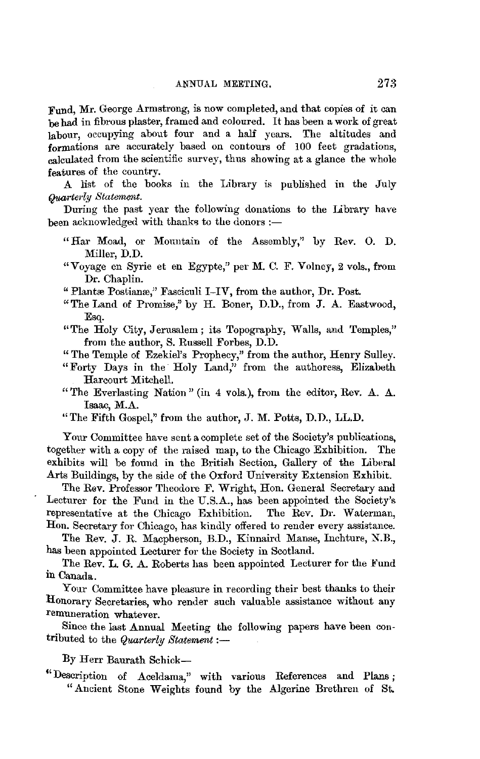Fund, Mr. George Armstrong, is now completed, and that copies of it can be had in fibrous plaster, framed and coloured. It has been a work of great labour, occupying about four and a half years. The altitudes and formations are accurately based on contours of 100 feet gradations, calculated from the scientific survey, thus showing at a glance the whole features of the country.

A list of the books in the Library is published m the July *Quarterly Statement.* 

During the past year the following donations to the Library have been acknowledged with thanks to the donors :-

- " Har Moad, or Mountain of the Assembly," by Rev. 0. D. Miller, D.D.
- "Voyage en Syrie et en Egypte," per M. C. F. Volney, 2 vols., from Dr. Chaplin.

" Plantæ Postianæ," Fasciculi I-IV, from the author, Dr. Post.

- "The Land of Promise," by H. Boner, D.D., from J. A. Eastwood, Esq.
- ''The Holy City, Jerusalem; its Topography, Walls, and Temples," from the author, S. Russell Forbes, D.D.
- "The Temple of Ezekiel's Prophecy," from the author, Henry Sulley.
- "Forty Days in the Holy Land," from the authoress, Elizabeth Harcourt Mitchell.
- "The Everlasting Nation" (in 4 vols.), from the editor, Rev. A. A. Isaac, M.A.
- "The Fifth Gospel," from the author, J. M. Potts, **D.D.,** LL.D.

Your Committee have sent a complete set of the Society's publications, together with a copy of the raised map, to the Chicago Exhibition. The exhibits will be found in the British Section, Gallery of the Liberal Arts Buildings, by the side of the Oxford University Extension Exhibit.

The Rav. Professor Theodore F. Wright, Hon. General Secretary and Lecturer for the Fund **in** the U.S.A., has been appointed the Society's representative at the Chicago Exhibition. The Rev. Dr. Waterman, Hon. Secretary for Chicago, has kindly offered to render every assistance.

The Rev. J. R. Macpherson, B.D., Kinnaird Manse, Inchture, N.B., has been appointed Lecturer for the Society in Scotland.

The Rev. L. G. A. Roberts has been appointed Lecturer for the Fund in Canada.

Your Committee have pleasure in recording their best thanks to their Honorary Secretaries, who render such valuable assistance without any remuneration whatever.

Since the last Annual Meeting the following papers have been contributed to the *Quarterly Statement* :-

By Herr Baurath Schick-

<sup>&</sup>quot; Description of Aceldama," with various References and Plans ; "Ancient Stone Weights found by the Algerine Brethren of St.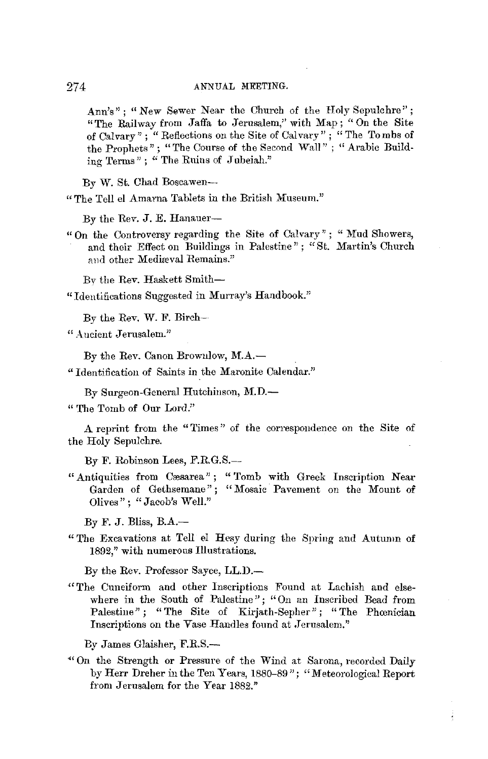Ann's"; "New Sewer Near the Church of the Holy Sepulchre''; "The Railway from Jaffa to Jerusalem,'' with Map; "On the Site of Calvary"; "Reflections on the Site of Calvary"; "The Tombs of the Prophets"; "The Course of the Second Wall"; "Arabic Building Terms"; "The Ruins of Jubeiah."

By W. St. Chad Boscawen-

" The Tell el Amarna Tablets in the British Museum."

By the *Rev.* J. *E.* Hanauer-

" On the Controversy regarding the Site of Calvary" ; " Mud Showers, and their Effect on Buildings in Palestine" ; "St. Martin's Church and other Mediæval Remains."

*Bv* the *Rev.* Haskett Smith-

" Identifications Suggested in Murray's Handbook.';

By the *Rev.* W. F. Birch-

" Ancient Jerusalem."

By the Rev. Canon Browulow, M.A.-

" Identification of Saints in the Maronite Calendar."

By Surgeon-General Hutchinson, M.D.-

" The Tomb of Our Lord.''

A reprint from the "Times" of the correspondence on the Site of the Holy Sepulchre.

By F. Robinson Lees, F.R.G.S.-

" Antiquities from Cæsarea"; "Tomb with Greek Inscription Near Garden of Gethsemane"; "Mosaic Pavement on the Mount of Olives"; "Jacob's Well."

By F. J. Bliss,  $B.A.$ -

" The Excavations at Tell el Hesy during the Spring and Autumn of 1892," with numerous Illustrations.

By the Rev. Professor Sayce, LL.D.-

" The Cuneiform and other Inscriptions Found at Lachish and elsewhere in the South of Palestine"; "On an Inscribed Bead from Palestine"; "The Site of Kirjath-Sepher"; "The Phœnician Inscriptions on the Vase Handles found at Jerusalem."

By James Glaisher, F.R.S.-

·" On the Strength or Pressure of the Wind at Sarona, recorded Daily by Herr Dreher in the Ten Years, 1880-89 "; "Meteorological Report from Jerusalem for the Year 1882."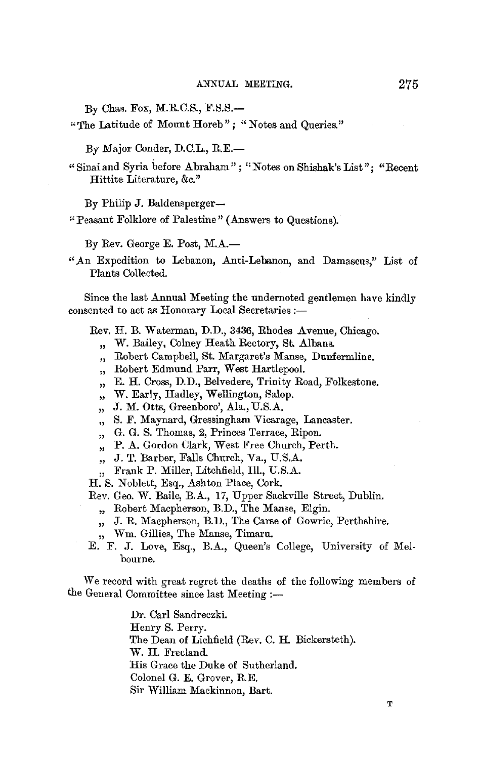$By$  Chas. Fox, M.R.C.S., F.S.S.-

" The Latitude of Mount Horeb"; "Notes and Queries."

By Major Conder, D.C.L., R.E.-

" Sinai and Syria before Abraham"; "Notes on Shishak'sList"; "Recent Hittite Literature, &c."

By Philip J. Baldensperger-

" Peasant Folklore of Palestine" (Answers to Questions).

By Rev. George E. Post, M.A.-

" An Expedition to Lebanon, Anti-Lebanon, and Damascus," List of Plants Collected.

Since the last Annual Meeting the undernoted gentlemen have kindly consented to act as Honorary Local Secretaries:-

Rev. H. B. Waterman, D.D., 3436, Rhodes Avenue, Chicago.

- ,, W. Bailey, Colney Heath Rectory, St. Albans.
- ,, Robert Campbell, St. Margaret's Manse, Dunfermline.
- ,, Robert Edmund Parr, West Hartlepool.
- ,, E. H. Cross, D.D., Belvedere, Trinity Road, Folkestone.
- ,, W. Early, Hadley, Wellington, Salop.
- ,, J. M. Otts, Greenboro', Ala., U.S.A.
- ,, S. F. Maynard, Gressingham Vicarage, Lancaster.
- ,, G. G. S. Thomas, 2, Princes Terrace, Ripon.
- ,, P. A. Gordon Clark, West Free Church, Perth.
- ,, J. T. Barber, Falls Church, Va., U.S.A.

,, Frank P. Miller, Litchfield, III., U.S.A.

H. S. Noblett, Esq., Ashton Place, Cork.

Rev. Geo. W. Baile, B.A., 17, Upper Sackville Street, Dublin.

- ,, Robert Macpherson, B.D., The Manse, Elgin.
- ,, J. R. Macpherson, B.D., The Carse of Gowrie, Perthshire.
- ,, Wm. Gillies, The Manse, Timaru.
- E. F. J. Love, Esq., B.A., Queen's College, University of Melbourne.

We record with great regret the deaths of the following members of the General Committee since last Meeting :-

> Dr. Carl Sandreczki. Henry S. Perry. The Dean of Lichfield (Rev. C. H. Bickersteth). W. H. Freeland. His Grace the Duke of Sutherland. Colonel G. E. Grover, R.E. Sir William Mackinnon, Bart.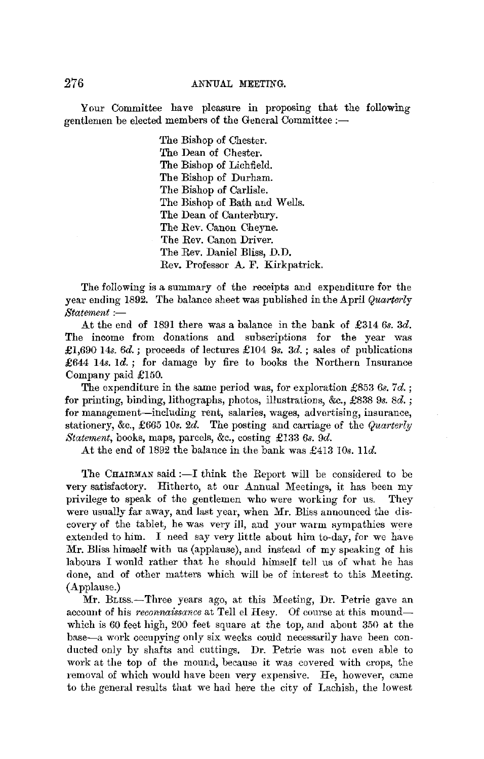276 ANNUAL MEETING.

Your Committee have pleasure in proposing that the following gentlemen be elected members of the General Committee :-

> The Bishop of Chester. The Dean of Chester. The Bishop of Lichfield. The Bishop of Durham. The Bishop of Carlisle. The Bishop of Bath and Wells. The Dean of Canterbury. The Rev. Canon Cheyne. The Rev. Canon Driver. The Rev. Daniel Bliss, D.D. Rev. Professor A. F. Kirkpatrick.

The following is a summary of the receipts and expenditure for the year ending 1892. The balance sheet was published in the April *Quarterly*   $Statement$  :-

At the end of 1891 there was a balance in the bank of £314 *6s.* 3d. The income from donations and subscriptions for the year was £1,690 14s. *6d.;* proceeds of lectures £104 *9s.* 3d. ; sales of publications £644 14s. Id.; for damage by fire to books the Northern Insurance Company paid £150.

The expenditure in the same period was, for exploration £853 *6s. 7d.* ; for printing, binding, lithographs, photos, illustrations, &c., £838 *9s. 8d.* ; for management-including rent, salaries, wages, advertising, insurance, stationery, &c., £665 *IOs.* 2d. The posting and carriage of the *Quarterly Statement,* books, maps, parcels, &c., costing £133 *6s. 9d.* 

At the end of 1892 the balance in the bank was £413 *10s.* lid.

The CHAIRMAN said : $-I$  think the Report will be considered to be very satisfactory. Hitherto, at our Annual Meetings, it has been my privilege to speak of the gentlemen who were working for us. They were usually far away, and last year, when Mr. Bliss announced the discovery of the tablet, he was very ill, and your warm sympathies were extended to him. I need say very little about him to-day, for we have Mr. Bliss himself with us (applause), and instead of my speaking of his labours I would rather that he should himself tell us of what he has done, and of other matters which will be of interest to this Meeting. (Applause.)

Mr. Buss.-Three years ago, at this Meeting, Dr. Petrie gave an account of his *reconnaissance* at Tell el Hesy. Of course at this moundwhich is 60 feet high, 200 feet square at the top, and about 350 at the base-a w0rk occupying only six weeks could necessarily have been conducted only by shafts and cuttings. Dr. Petrie was not even able to work at the top of the mound, because it was covered with crops, the removal of which would have been very expensive. *He,* however, came to the general results that we had here the city of Lachish, the lowest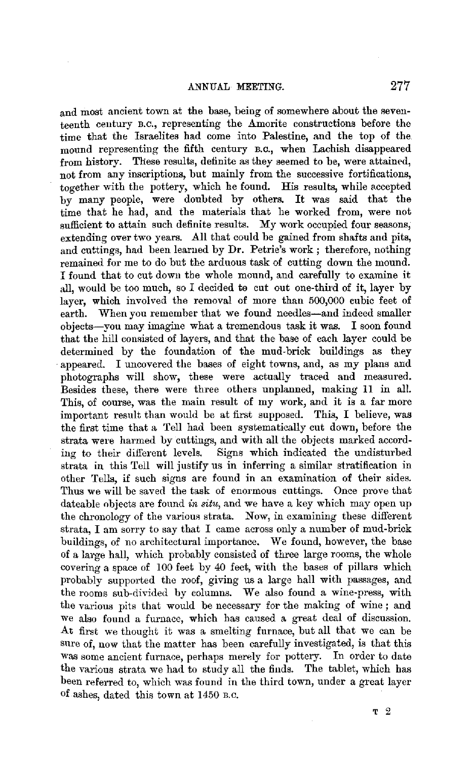and most ancient town at the base, being of somewhere about the seventeenth century B.c., representing the Amorite constructions before the time that the Israelites had come into Palestine, and the top of the. mound representing the fifth century B.c., when Lachish disappeared from history. These results, definite as they seemed to be, were attained, not from any inscriptions, but mainly from the successive fortifications, together with the pottery, which he found. His results, while accepted by many people, were doubted by others. It was said that the time that he had, and the materials that he worked from, were not sufficient to attain such definite results. My work occupied four seasons, extending over two years. All that could be gained from shafts and pits, and cuttings, had been learned by Dr. Petrie's work ; therefore, nothing remained for me to do but the arduous task of cutting down the mound. I found that to cut down the whole mound, and carefully to examine it all, would be too much, so I decided to cut out one-third of it, layer by layer, which involved the removal of more than 500,000 cubic feet of earth. When you remember that we found needles-and indeed smaller objects-you may imagine what a tremendous task it was. I soon found that the hill consisted of layers, and that the base of each layer could be determined by the foundation of the mud-brick buildings as they appeared. I uncovered the bases of eight towns, and, as my plans and photographs will show, these were actually traced and measured. Besides these, there were three others unplanned, making 11 in all. This, of course, was the main result of my work, and it is a far more important result than would be at first supposed. This, I believe, was the first time that a Tell had been systematically cut down, before the strata were harmed by cuttings, and with all the objects marked according to their different levels. Signs which indicated the undisturbed strata in this Tell will justify us in inferring a similar stratification iu other Tells, if such signs are found in an examination of their sides. Thus we will be saved the task of enormous cuttings. Once prove that dateable objects are found *in situ,* and we have a key which may open up the chronology of the various strata. Now, in examining these different strata, I am sorry to say that I came across only a number of mud-brick buildings, of no architectural importance. We found, however, the base of a large hall, which probably consisted of three large rooms, the whole covering a space of 100 feet by 40 feet, with the bases of pillars which probably supported the roof, giving us a large hall with passages, and the rooms sub-divided by columns. We also found a wine-press, with the various pits that would be necessary for the making of wine; and we also found a furnace, which has caused a great deal of discussion. At first we thought it was a smelting furnace, but all that we can be sure of, now that the matter has been carefully investigated, is that this was some ancient furnace, perhaps merely for pottery. In order to date the various strata we had to study all the finds. The tablet, which has been referred to, which was found in the third town, under a great layer of ashes, dated this town at 1450 B.c.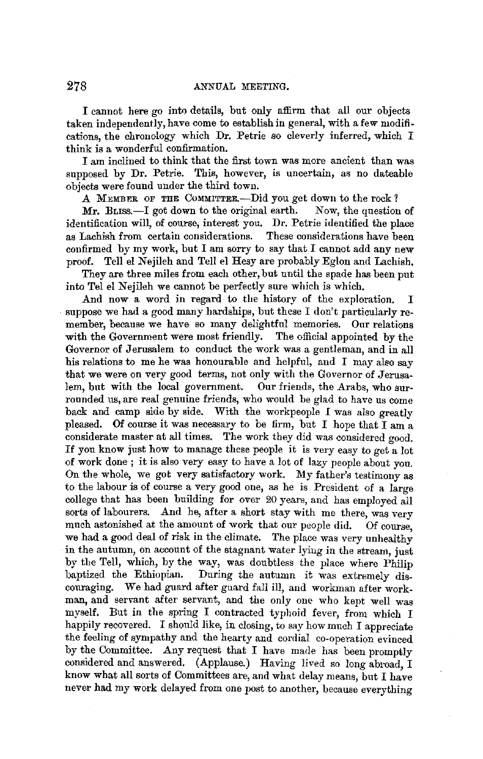I cannot here go intn details, but only affirm that all our objects taken independently, have come to establish iu general, with a few modifications, the chronology which Dr. Petrie so cleverly inferred, which I think is a wonderful confirmation.

I am inclined to think that the first town was more ancient than was supposed by Dr. Petrie. This, however, is uncertain, as no dateable objects were found under the third town.

A MEMBER OF THE COMMITTEE.—Did you get down to the rock?<br>Mr. BLISS.—I got down to the original earth. Now, the question of

 $Mr.$  BLISS. $-I$  got down to the original earth. identification will, of course, interest you. Dr. Petrie identified the place as Lachish from certain considerations. These considerations have been confirmed by my work, but I am sorry to say that I caunot add any new proof. Tell el Nejileh and Tell el Hesy are probably Eglon and Lachish.

They are three miles from each other, but until the spade has been put into Tel el Nejileh we cannot be perfectly sure which is which.

And now a word in regard to the history of the exploration. I suppose we had a good many hardships, but these I don't particularly remember, because we have so many delightful memories. Our relations with the Government were most friendly. The official appointed by the Governor of Jerusalem to conduct the work was a gentleman, and in all his relations to me he was honourable and helpful, and I may also say that we were on very good terms, not only with the Governor of Jerusa-<br>lem, but with the local government. Our friends, the Arabs, who surlem, but with the local government. rounded us, are real genuine friends, who would be glad to have us come back and camp side by side. With the workpeople *I* was also greatly pleased. Of course it was necessary to be firm, but I hope that I am a considerate master at all times. The work they did was considered good. If you know just how to manage these people it is very easy to get a lot of work done ; it is also very easy to have a lot of lazy people about you. On the whole, we got very satisfactory work. My father's testimony as to the labour is of course a very good one, as he is President of a large college that has been building for over 20 years, and has employed all sorts of labourers. And he, after a short stay with me there, was very much astonished at the amount of work that our people did. Of course, we had a good deal of risk in the climate. The place was very unhealthy in the autumn, on account of the stagnant water lying in the stream, just by the Tell, which, by the way, was doubtless the place where Philip baptized the Ethiopian. During the autumn it was extremely discouraging. We had guard after guard fall ill, and workman after workman, and servant after servant, and the only one who kept well was myself. But in the spring I contracted typhoid fever, from which I happily recovered. I should like, in closing, to say how much I appreciate the feeling of sympathy and the hearty and cordial co-operation evinced by the Committee. Any request that I have made has been promptly considered and answered. (Applause.) Having lived so long abroad, I know what all sorts of Committees are, and what delay means, but I have never had my work delayed from one post to another, because everything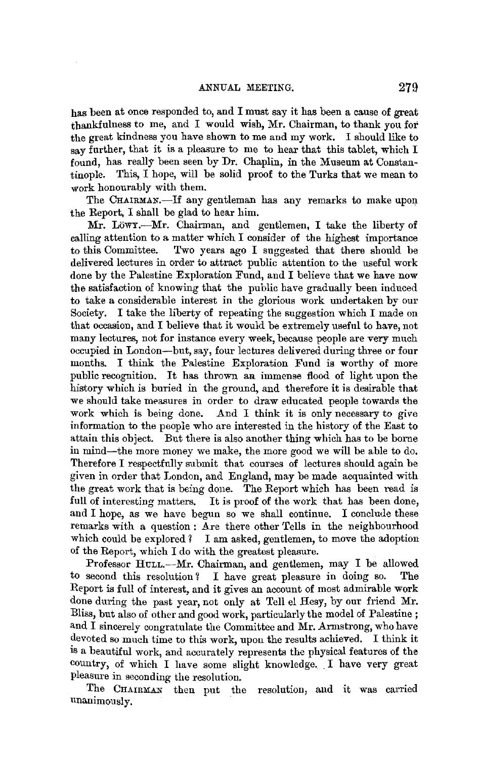has been at once responded to, and I must say it has been a cause of great thankfulness to me, and I would wish, Mr. Chairman, to thank you for the great kindness you have shown to me and my work. I should like to say further, that it is a pleasure to me to hear that this tablet, which I found, has really been seen by Dr. Chaplin, in the Museum at Constan• tinople. This, I hope, will be solid proof to the Turks that we mean to work honourably with them.

The CHAIRMAN.-If any gentleman has any remarks to make upon the Report, I shall be glad to hear him.

Mr. Löwy.---Mr. Chairman, and gentlemen, I take the liberty of calling attention to a matter which I consider of the highest importance to this Committee. Two years ago I suggested that there should be delivered lectures in order to attract public attention to the useful work done by the Palestine Exploration Fund, and I believe that we have now the satisfaction of knowing that the public have gradually been induced to take a considerable interest in the glorious work undertaken by our Society. I take the liberty of repeating the suggestion which I made on that occasion, and I believe that it would be extremely useful to have, not many lectures, not for instance every week, because people are very much occupied in London-but, say, four lectures delivered during three or four months. I think the Palestine Exploration Fund is worthy of more public recognition. It has thrown aa immense flood of light upon the history which is buried in the ground, and therefore it is desirable that we should take measures in order to draw educated people towards the work which is being done. And I think it is only necessary to give And I think it is only necessary to give. information to the people who are interested in the history of the East to attain this object. But there is also another thing which has to be borne in mind-the more money we make, the more good we will be able to do. Therefore I respectfully submit that courses of lectures should again be given in order that London, and England, may be made acquainted with the great work that is being done. The Report which has been read is full of interesting matters. It is proof of the work that has been done, and  $I$  hope, as we have begun so we shall continue. I conclude these remarks with a question : Are there other Tells in the neighbourhood which could be explored  $\ell$  I am asked, gentlemen, to move the adoption of the Report, which I do with the greatest pleasure.

Professor HULL.-Mr. Chairman, and gentlemen, may I be allowed to second this resolution? I have great pleasure in doing so. The Report is full of interest, and it gives an account of most admirable work done during the past year, not only at Tell el Hesy, by our friend Mr. Bliss, but also of other and good work, particularly the model of Palestine ; and I sincerely congratulate the Committee and Mr. Armstrong, who have devoted so much time to this work, upon the results achieved. I think it is a beautiful work, and accurately represents the physical features of the country, of which I have some slight knowledge .. I have very great pleasure in seconding the resolution.

The CHAIRMAN then put the resolution, and it was carried unanimously.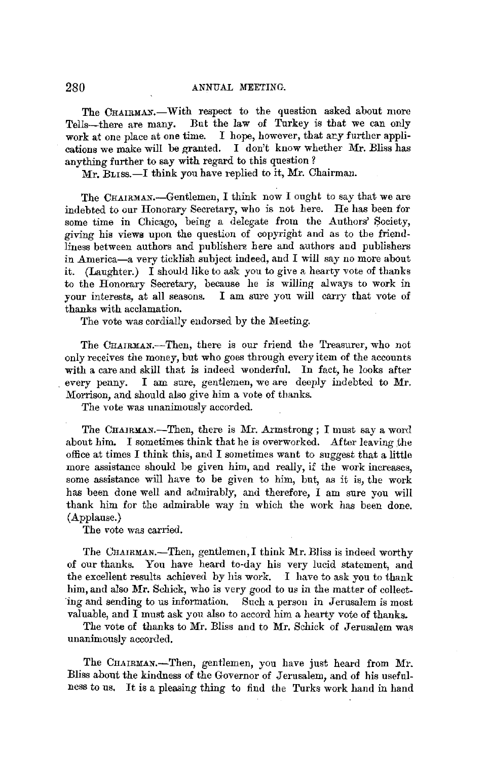The CHAIRMAN.—With respect to the question asked about more Tells—there are many. But the law of Turkey is that we can only Tells-there are many. But the law of Turkey is that we can only work at one place at one time. I hope, however, that any further appli-I hope, however, that ary further applications we make will be granted. I don't know whether Mr. Bliss has anything further to say with regard to this question ?

Mr. Burss.-I think you have replied to it, Mr. Chairman.

The CHAIRMAN.-Gentlemen, I think now I ought to say that we are indebted to our Honorary Secretary, who is not here. He has been for some time in Chicago, being a delegate from the Authors' Society, giving his views upon the question of copyright and as to the friendliness between authors and publishere here and authors and publishers in America-a very ticklish subject indeed, and I will say no more about it. (Laughter.) I should like to ask you to give a hearty vote of thanks to the Honorary Secretary, because he is willing always to work in your interests, at all seasons. I am sure you will carry that vote of thanks with acclamation.

The vote was cordially endorsed by the Meeting.

The CHAIRMAN.-Then, there is our friend the Treasurer, who not only receives the money, but who goes through every item of the accounts with a care and skill that is indeed wonderful. In fact, he looks after every penny. I am sure, gentlemen, we are deeply indebted to Mr. Morrison, and should also give him a vote of thanks.

The vote was unanimously accorded.

The CHAIRMAN.-Then, there is Mr. Armstrong ; I must say a word about him. I sometimes think that he is overworked. After leaving the office at times I think this, and I sometimes want to suggest that a little more assistance should be given him, and really, if the work increases, some assistance will have to be given to him, but, as it is, the work has been done well and admirably, and therefore, I am sure you will thank him for the admirable way in which the work has been done. (Applause.)

The vote was carried.

The CHAIRMAN.-Then, gentlemen, I think Mr. Bliss is indeed worthy of our thanks. You have heard to-day his very lucid statement, and the excellent results achieved by his work. I have to ask you to thank him, and also Mr. Schick, who is very good to us in the matter of collect- 'ing and sending to us information. Such a person in Jerusalem is most valuable, and I must ask you also to accord him a hearty vote of thanks.

The vote of thanks to Mr. Bliss and to Mr. Schick of Jerusalem was unanimously accorded.

The CHAIRMAN.-Then, gentlemen, you have just heard from Mr. Bliss about the kindness of the Governor of Jerusalem, and of his usefulness to us. It is a pleasing thing to find the Turks work hand in hand